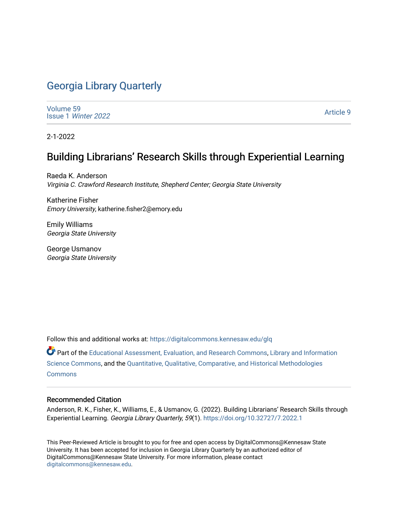# [Georgia Library Quarterly](https://digitalcommons.kennesaw.edu/glq)

[Volume 59](https://digitalcommons.kennesaw.edu/glq/vol59) Issue 1 [Winter 2022](https://digitalcommons.kennesaw.edu/glq/vol59/iss1) 

[Article 9](https://digitalcommons.kennesaw.edu/glq/vol59/iss1/9) 

2-1-2022

# Building Librarians' Research Skills through Experiential Learning

Raeda K. Anderson Virginia C. Crawford Research Institute, Shepherd Center; Georgia State University

Katherine Fisher Emory University, katherine.fisher2@emory.edu

Emily Williams Georgia State University

George Usmanov Georgia State University

Follow this and additional works at: [https://digitalcommons.kennesaw.edu/glq](https://digitalcommons.kennesaw.edu/glq?utm_source=digitalcommons.kennesaw.edu%2Fglq%2Fvol59%2Fiss1%2F9&utm_medium=PDF&utm_campaign=PDFCoverPages) 

Part of the [Educational Assessment, Evaluation, and Research Commons](http://network.bepress.com/hgg/discipline/796?utm_source=digitalcommons.kennesaw.edu%2Fglq%2Fvol59%2Fiss1%2F9&utm_medium=PDF&utm_campaign=PDFCoverPages), [Library and Information](http://network.bepress.com/hgg/discipline/1018?utm_source=digitalcommons.kennesaw.edu%2Fglq%2Fvol59%2Fiss1%2F9&utm_medium=PDF&utm_campaign=PDFCoverPages) [Science Commons,](http://network.bepress.com/hgg/discipline/1018?utm_source=digitalcommons.kennesaw.edu%2Fglq%2Fvol59%2Fiss1%2F9&utm_medium=PDF&utm_campaign=PDFCoverPages) and the [Quantitative, Qualitative, Comparative, and Historical Methodologies](http://network.bepress.com/hgg/discipline/423?utm_source=digitalcommons.kennesaw.edu%2Fglq%2Fvol59%2Fiss1%2F9&utm_medium=PDF&utm_campaign=PDFCoverPages)  [Commons](http://network.bepress.com/hgg/discipline/423?utm_source=digitalcommons.kennesaw.edu%2Fglq%2Fvol59%2Fiss1%2F9&utm_medium=PDF&utm_campaign=PDFCoverPages)

#### Recommended Citation

Anderson, R. K., Fisher, K., Williams, E., & Usmanov, G. (2022). Building Librarians' Research Skills through Experiential Learning. Georgia Library Quarterly, 59(1). <https://doi.org/10.32727/7.2022.1>

This Peer-Reviewed Article is brought to you for free and open access by DigitalCommons@Kennesaw State University. It has been accepted for inclusion in Georgia Library Quarterly by an authorized editor of DigitalCommons@Kennesaw State University. For more information, please contact [digitalcommons@kennesaw.edu.](mailto:digitalcommons@kennesaw.edu)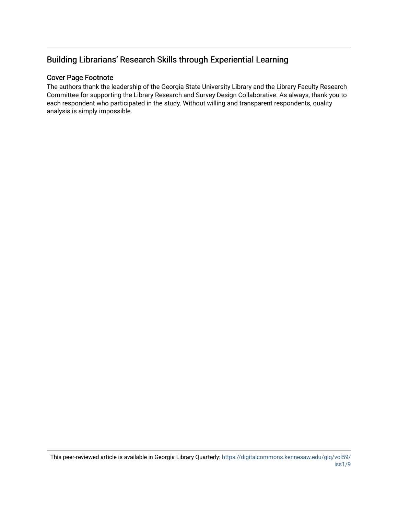# Building Librarians' Research Skills through Experiential Learning

#### Cover Page Footnote

The authors thank the leadership of the Georgia State University Library and the Library Faculty Research Committee for supporting the Library Research and Survey Design Collaborative. As always, thank you to each respondent who participated in the study. Without willing and transparent respondents, quality analysis is simply impossible.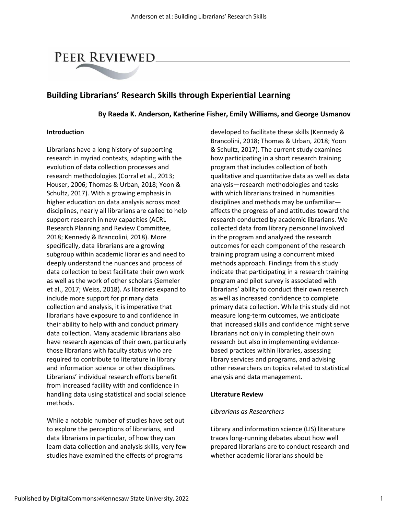# PEER REVIEWED

# **Building Librarians' Research Skills through Experiential Learning**

#### **By Raeda K. Anderson, Katherine Fisher, Emily Williams, and George Usmanov**

#### **Introduction**

Librarians have a long history of supporting research in myriad contexts, adapting with the evolution of data collection processes and research methodologies (Corral et al., 2013; Houser, 2006; Thomas & Urban, 2018; Yoon & Schultz, 2017). With a growing emphasis in higher education on data analysis across most disciplines, nearly all librarians are called to help support research in new capacities (ACRL Research Planning and Review Committee, 2018; Kennedy & Brancolini, 2018). More specifically, data librarians are a growing subgroup within academic libraries and need to deeply understand the nuances and process of data collection to best facilitate their own work as well as the work of other scholars (Semeler et al., 2017; Weiss, 2018). As libraries expand to include more support for primary data collection and analysis, it is imperative that librarians have exposure to and confidence in their ability to help with and conduct primary data collection. Many academic librarians also have research agendas of their own, particularly those librarians with faculty status who are required to contribute to literature in library and information science or other disciplines. Librarians' individual research efforts benefit from increased facility with and confidence in handling data using statistical and social science methods.

While a notable number of studies have set out to explore the perceptions of librarians, and data librarians in particular, of how they can learn data collection and analysis skills, very few studies have examined the effects of programs

developed to facilitate these skills (Kennedy & Brancolini, 2018; Thomas & Urban, 2018; Yoon & Schultz, 2017). The current study examines how participating in a short research training program that includes collection of both qualitative and quantitative data as well as data analysis—research methodologies and tasks with which librarians trained in humanities disciplines and methods may be unfamiliar affects the progress of and attitudes toward the research conducted by academic librarians. We collected data from library personnel involved in the program and analyzed the research outcomes for each component of the research training program using a concurrent mixed methods approach. Findings from this study indicate that participating in a research training program and pilot survey is associated with librarians' ability to conduct their own research as well as increased confidence to complete primary data collection. While this study did not measure long-term outcomes, we anticipate that increased skills and confidence might serve librarians not only in completing their own research but also in implementing evidencebased practices within libraries, assessing library services and programs, and advising other researchers on topics related to statistical analysis and data management.

#### **Literature Review**

#### *Librarians as Researchers*

Library and information science (LIS) literature traces long-running debates about how well prepared librarians are to conduct research and whether academic librarians should be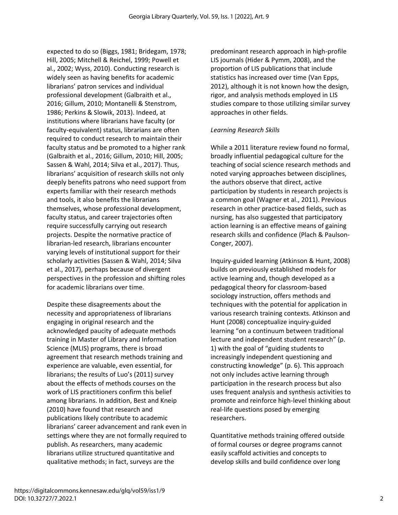expected to do so (Biggs, 1981; Bridegam, 1978; Hill, 2005; Mitchell & Reichel, 1999; Powell et al., 2002; Wyss, 2010). Conducting research is widely seen as having benefits for academic librarians' patron services and individual professional development (Galbraith et al., 2016; Gillum, 2010; Montanelli & Stenstrom, 1986; Perkins & Slowik, 2013). Indeed, at institutions where librarians have faculty (or faculty-equivalent) status, librarians are often required to conduct research to maintain their faculty status and be promoted to a higher rank (Galbraith et al., 2016; Gillum, 2010; Hill, 2005; Sassen & Wahl, 2014; Silva et al., 2017). Thus, librarians' acquisition of research skills not only deeply benefits patrons who need support from experts familiar with their research methods and tools, it also benefits the librarians themselves, whose professional development, faculty status, and career trajectories often require successfully carrying out research projects. Despite the normative practice of librarian-led research, librarians encounter varying levels of institutional support for their scholarly activities (Sassen & Wahl, 2014; Silva et al., 2017), perhaps because of divergent perspectives in the profession and shifting roles for academic librarians over time.

Despite these disagreements about the necessity and appropriateness of librarians engaging in original research and the acknowledged paucity of adequate methods training in Master of Library and Information Science (MLIS) programs, there is broad agreement that research methods training and experience are valuable, even essential, for librarians; the results of Luo's (2011) survey about the effects of methods courses on the work of LIS practitioners confirm this belief among librarians. In addition, Best and Kneip (2010) have found that research and publications likely contribute to academic librarians' career advancement and rank even in settings where they are not formally required to publish. As researchers, many academic librarians utilize structured quantitative and qualitative methods; in fact, surveys are the

predominant research approach in high-profile LIS journals (Hider & Pymm, 2008), and the proportion of LIS publications that include statistics has increased over time (Van Epps, 2012), although it is not known how the design, rigor, and analysis methods employed in LIS studies compare to those utilizing similar survey approaches in other fields.

#### *Learning Research Skills*

While a 2011 literature review found no formal, broadly influential pedagogical culture for the teaching of social science research methods and noted varying approaches between disciplines, the authors observe that direct, active participation by students in research projects is a common goal (Wagner et al., 2011). Previous research in other practice-based fields, such as nursing, has also suggested that participatory action learning is an effective means of gaining research skills and confidence (Plach & Paulson-Conger, 2007).

Inquiry-guided learning (Atkinson & Hunt, 2008) builds on previously established models for active learning and, though developed as a pedagogical theory for classroom-based sociology instruction, offers methods and techniques with the potential for application in various research training contexts. Atkinson and Hunt (2008) conceptualize inquiry-guided learning "on a continuum between traditional lecture and independent student research" (p. 1) with the goal of "guiding students to increasingly independent questioning and constructing knowledge" (p. 6). This approach not only includes active learning through participation in the research process but also uses frequent analysis and synthesis activities to promote and reinforce high-level thinking about real-life questions posed by emerging researchers.

Quantitative methods training offered outside of formal courses or degree programs cannot easily scaffold activities and concepts to develop skills and build confidence over long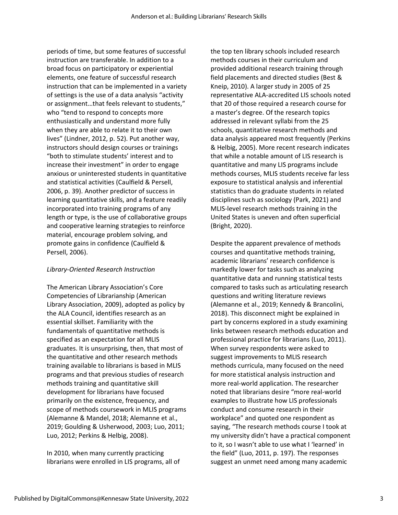periods of time, but some features of successful instruction are transferable. In addition to a broad focus on participatory or experiential elements, one feature of successful research instruction that can be implemented in a variety of settings is the use of a data analysis "activity or assignment…that feels relevant to students," who "tend to respond to concepts more enthusiastically and understand more fully when they are able to relate it to their own lives" (Lindner, 2012, p. 52). Put another way, instructors should design courses or trainings "both to stimulate students' interest and to increase their investment" in order to engage anxious or uninterested students in quantitative and statistical activities (Caulfield & Persell, 2006, p. 39). Another predictor of success in learning quantitative skills, and a feature readily incorporated into training programs of any length or type, is the use of collaborative groups and cooperative learning strategies to reinforce material, encourage problem solving, and promote gains in confidence (Caulfield & Persell, 2006).

#### *Library-Oriented Research Instruction*

The American Library Association's Core Competencies of Librarianship (American Library Association, 2009), adopted as policy by the ALA Council, identifies research as an essential skillset. Familiarity with the fundamentals of quantitative methods is specified as an expectation for all MLIS graduates. It is unsurprising, then, that most of the quantitative and other research methods training available to librarians is based in MLIS programs and that previous studies of research methods training and quantitative skill development for librarians have focused primarily on the existence, frequency, and scope of methods coursework in MLIS programs (Alemanne & Mandel, 2018; Alemanne et al., 2019; Goulding & Usherwood, 2003; Luo, 2011; Luo, 2012; Perkins & Helbig, 2008).

In 2010, when many currently practicing librarians were enrolled in LIS programs, all of the top ten library schools included research methods courses in their curriculum and provided additional research training through field placements and directed studies (Best & Kneip, 2010). A larger study in 2005 of 25 representative ALA-accredited LIS schools noted that 20 of those required a research course for a master's degree. Of the research topics addressed in relevant syllabi from the 25 schools, quantitative research methods and data analysis appeared most frequently (Perkins & Helbig, 2005). More recent research indicates that while a notable amount of LIS research is quantitative and many LIS programs include methods courses, MLIS students receive far less exposure to statistical analysis and inferential statistics than do graduate students in related disciplines such as sociology (Park, 2021) and MLIS-level research methods training in the United States is uneven and often superficial (Bright, 2020).

Despite the apparent prevalence of methods courses and quantitative methods training, academic librarians' research confidence is markedly lower for tasks such as analyzing quantitative data and running statistical tests compared to tasks such as articulating research questions and writing literature reviews (Alemanne et al., 2019; Kennedy & Brancolini, 2018). This disconnect might be explained in part by concerns explored in a study examining links between research methods education and professional practice for librarians (Luo, 2011). When survey respondents were asked to suggest improvements to MLIS research methods curricula, many focused on the need for more statistical analysis instruction and more real-world application. The researcher noted that librarians desire "more real-world examples to illustrate how LIS professionals conduct and consume research in their workplace" and quoted one respondent as saying, "The research methods course I took at my university didn't have a practical component to it, so I wasn't able to use what I 'learned' in the field" (Luo, 2011, p. 197). The responses suggest an unmet need among many academic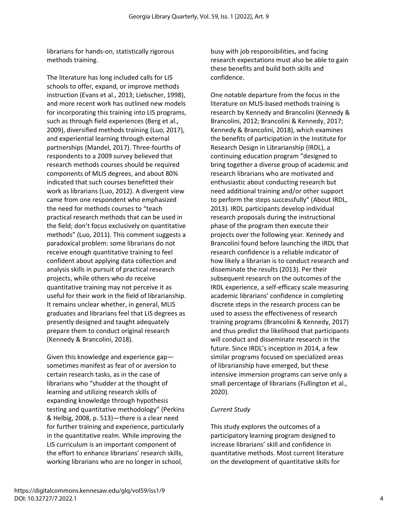librarians for hands-on, statistically rigorous methods training.

The literature has long included calls for LIS schools to offer, expand, or improve methods instruction (Evans et al., 2013; Liebscher, 1998), and more recent work has outlined new models for incorporating this training into LIS programs, such as through field experiences (Berg et al., 2009), diversified methods training (Luo, 2017), and experiential learning through external partnerships (Mandel, 2017). Three-fourths of respondents to a 2009 survey believed that research methods courses should be required components of MLIS degrees, and about 80% indicated that such courses benefitted their work as librarians (Luo, 2012). A divergent view came from one respondent who emphasized the need for methods courses to "teach practical research methods that can be used in the field; don't focus exclusively on quantitative methods" (Luo, 2011). This comment suggests a paradoxical problem: some librarians do not receive enough quantitative training to feel confident about applying data collection and analysis skills in pursuit of practical research projects, while others who *do* receive quantitative training may not perceive it as useful for their work in the field of librarianship. It remains unclear whether, in general, MLIS graduates and librarians feel that LIS degrees as presently designed and taught adequately prepare them to conduct original research (Kennedy & Brancolini, 2018).

Given this knowledge and experience gap sometimes manifest as fear of or aversion to certain research tasks, as in the case of librarians who "shudder at the thought of learning and utilizing research skills of expanding knowledge through hypothesis testing and quantitative methodology" (Perkins & Helbig, 2008, p. 513)—there is a clear need for further training and experience, particularly in the quantitative realm. While improving the LIS curriculum is an important component of the effort to enhance librarians' research skills, working librarians who are no longer in school,

busy with job responsibilities, and facing research expectations must also be able to gain these benefits and build both skills and confidence.

One notable departure from the focus in the literature on MLIS-based methods training is research by Kennedy and Brancolini (Kennedy & Brancolini, 2012; Brancolini & Kennedy, 2017; Kennedy & Brancolini, 2018), which examines the benefits of participation in the Institute for Research Design in Librarianship (IRDL), a continuing education program "designed to bring together a diverse group of academic and research librarians who are motivated and enthusiastic about conducting research but need additional training and/or other support to perform the steps successfully" (About IRDL, 2013). IRDL participants develop individual research proposals during the instructional phase of the program then execute their projects over the following year. Kennedy and Brancolini found before launching the IRDL that research confidence is a reliable indicator of how likely a librarian is to conduct research and disseminate the results (2013). Per their subsequent research on the outcomes of the IRDL experience, a self-efficacy scale measuring academic librarians' confidence in completing discrete steps in the research process can be used to assess the effectiveness of research training programs (Brancolini & Kennedy, 2017) and thus predict the likelihood that participants will conduct and disseminate research in the future. Since IRDL's inception in 2014, a few similar programs focused on specialized areas of librarianship have emerged, but these intensive immersion programs can serve only a small percentage of librarians (Fullington et al., 2020).

## *Current Study*

This study explores the outcomes of a participatory learning program designed to increase librarians' skill and confidence in quantitative methods. Most current literature on the development of quantitative skills for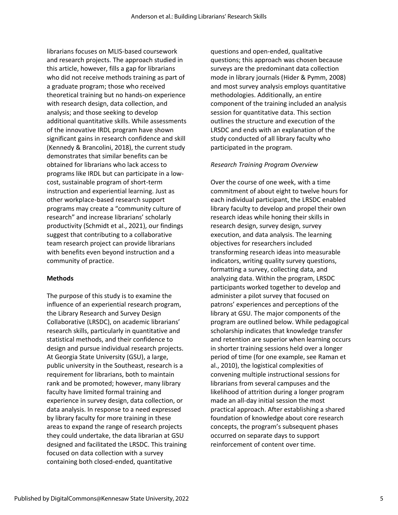librarians focuses on MLIS-based coursework and research projects. The approach studied in this article, however, fills a gap for librarians who did not receive methods training as part of a graduate program; those who received theoretical training but no hands-on experience with research design, data collection, and analysis; and those seeking to develop additional quantitative skills. While assessments of the innovative IRDL program have shown significant gains in research confidence and skill (Kennedy & Brancolini, 2018), the current study demonstrates that similar benefits can be obtained for librarians who lack access to programs like IRDL but can participate in a lowcost, sustainable program of short-term instruction and experiential learning. Just as other workplace-based research support programs may create a "community culture of research" and increase librarians' scholarly productivity (Schmidt et al., 2021), our findings suggest that contributing to a collaborative team research project can provide librarians with benefits even beyond instruction and a community of practice.

#### **Methods**

The purpose of this study is to examine the influence of an experiential research program, the Library Research and Survey Design Collaborative (LRSDC), on academic librarians' research skills, particularly in quantitative and statistical methods, and their confidence to design and pursue individual research projects. At Georgia State University (GSU), a large, public university in the Southeast, research is a requirement for librarians, both to maintain rank and be promoted; however, many library faculty have limited formal training and experience in survey design, data collection, or data analysis. In response to a need expressed by library faculty for more training in these areas to expand the range of research projects they could undertake, the data librarian at GSU designed and facilitated the LRSDC. This training focused on data collection with a survey containing both closed-ended, quantitative

questions and open-ended, qualitative questions; this approach was chosen because surveys are the predominant data collection mode in library journals (Hider & Pymm, 2008) and most survey analysis employs quantitative methodologies. Additionally, an entire component of the training included an analysis session for quantitative data. This section outlines the structure and execution of the LRSDC and ends with an explanation of the study conducted of all library faculty who participated in the program.

#### *Research Training Program Overview*

Over the course of one week, with a time commitment of about eight to twelve hours for each individual participant, the LRSDC enabled library faculty to develop and propel their own research ideas while honing their skills in research design, survey design, survey execution, and data analysis. The learning objectives for researchers included transforming research ideas into measurable indicators, writing quality survey questions, formatting a survey, collecting data, and analyzing data. Within the program, LRSDC participants worked together to develop and administer a pilot survey that focused on patrons' experiences and perceptions of the library at GSU. The major components of the program are outlined below. While pedagogical scholarship indicates that knowledge transfer and retention are superior when learning occurs in shorter training sessions held over a longer period of time (for one example, see Raman et al., 2010), the logistical complexities of convening multiple instructional sessions for librarians from several campuses and the likelihood of attrition during a longer program made an all-day initial session the most practical approach. After establishing a shared foundation of knowledge about core research concepts, the program's subsequent phases occurred on separate days to support reinforcement of content over time.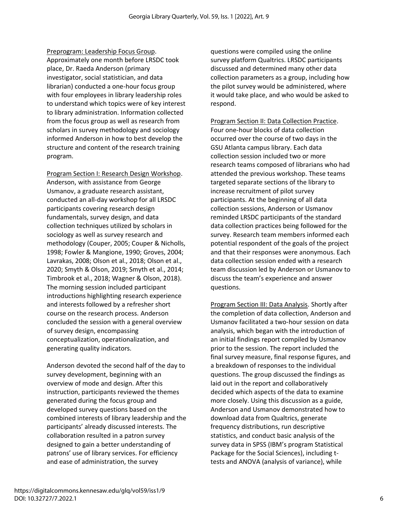Preprogram: Leadership Focus Group. Approximately one month before LRSDC took place, Dr. Raeda Anderson (primary investigator, social statistician, and data librarian) conducted a one-hour focus group with four employees in library leadership roles to understand which topics were of key interest to library administration. Information collected from the focus group as well as research from scholars in survey methodology and sociology informed Anderson in how to best develop the structure and content of the research training program.

Program Section I: Research Design Workshop. Anderson, with assistance from George Usmanov, a graduate research assistant, conducted an all-day workshop for all LRSDC participants covering research design fundamentals, survey design, and data collection techniques utilized by scholars in sociology as well as survey research and methodology (Couper, 2005; Couper & Nicholls, 1998; Fowler & Mangione, 1990; Groves, 2004; Lavrakas, 2008; Olson et al., 2018; Olson et al., 2020; Smyth & Olson, 2019; Smyth et al., 2014; Timbrook et al., 2018; Wagner & Olson, 2018). The morning session included participant introductions highlighting research experience and interests followed by a refresher short course on the research process. Anderson concluded the session with a general overview of survey design, encompassing conceptualization, operationalization, and generating quality indicators.

Anderson devoted the second half of the day to survey development, beginning with an overview of mode and design. After this instruction, participants reviewed the themes generated during the focus group and developed survey questions based on the combined interests of library leadership and the participants' already discussed interests. The collaboration resulted in a patron survey designed to gain a better understanding of patrons' use of library services. For efficiency and ease of administration, the survey

questions were compiled using the online survey platform Qualtrics. LRSDC participants discussed and determined many other data collection parameters as a group, including how the pilot survey would be administered, where it would take place, and who would be asked to respond.

Program Section II: Data Collection Practice. Four one-hour blocks of data collection occurred over the course of two days in the GSU Atlanta campus library. Each data collection session included two or more research teams composed of librarians who had attended the previous workshop. These teams targeted separate sections of the library to increase recruitment of pilot survey participants. At the beginning of all data collection sessions, Anderson or Usmanov reminded LRSDC participants of the standard data collection practices being followed for the survey. Research team members informed each potential respondent of the goals of the project and that their responses were anonymous. Each data collection session ended with a research team discussion led by Anderson or Usmanov to discuss the team's experience and answer questions.

Program Section III: Data Analysis. Shortly after the completion of data collection, Anderson and Usmanov facilitated a two-hour session on data analysis, which began with the introduction of an initial findings report compiled by Usmanov prior to the session. The report included the final survey measure, final response figures, and a breakdown of responses to the individual questions. The group discussed the findings as laid out in the report and collaboratively decided which aspects of the data to examine more closely. Using this discussion as a guide, Anderson and Usmanov demonstrated how to download data from Qualtrics, generate frequency distributions, run descriptive statistics, and conduct basic analysis of the survey data in SPSS (IBM's program Statistical Package for the Social Sciences), including ttests and ANOVA (analysis of variance), while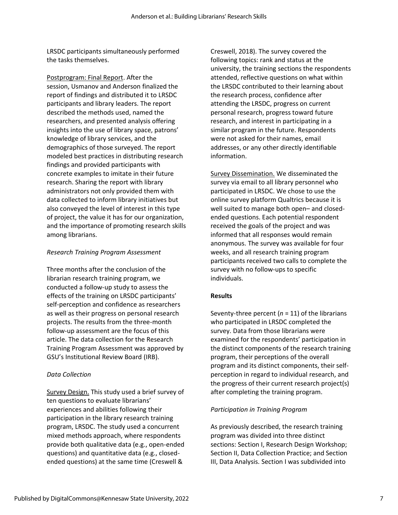LRSDC participants simultaneously performed the tasks themselves.

Postprogram: Final Report. After the session, Usmanov and Anderson finalized the report of findings and distributed it to LRSDC participants and library leaders. The report described the methods used, named the researchers, and presented analysis offering insights into the use of library space, patrons' knowledge of library services, and the demographics of those surveyed. The report modeled best practices in distributing research findings and provided participants with concrete examples to imitate in their future research. Sharing the report with library administrators not only provided them with data collected to inform library initiatives but also conveyed the level of interest in this type of project, the value it has for our organization, and the importance of promoting research skills among librarians.

#### *Research Training Program Assessment*

Three months after the conclusion of the librarian research training program, we conducted a follow-up study to assess the effects of the training on LRSDC participants' self-perception and confidence as researchers as well as their progress on personal research projects. The results from the three-month follow-up assessment are the focus of this article. The data collection for the Research Training Program Assessment was approved by GSU's Institutional Review Board (IRB).

#### *Data Collection*

Survey Design. This study used a brief survey of ten questions to evaluate librarians' experiences and abilities following their participation in the library research training program, LRSDC. The study used a concurrent mixed methods approach, where respondents provide both qualitative data (e.g., open-ended questions) and quantitative data (e.g., closedended questions) at the same time (Creswell &

Creswell, 2018). The survey covered the following topics: rank and status at the university, the training sections the respondents attended, reflective questions on what within the LRSDC contributed to their learning about the research process, confidence after attending the LRSDC, progress on current personal research, progress toward future research, and interest in participating in a similar program in the future. Respondents were not asked for their names, email addresses, or any other directly identifiable information.

Survey Dissemination. We disseminated the survey via email to all library personnel who participated in LRSDC. We chose to use the online survey platform Qualtrics because it is well suited to manage both open– and closedended questions. Each potential respondent received the goals of the project and was informed that all responses would remain anonymous. The survey was available for four weeks, and all research training program participants received two calls to complete the survey with no follow-ups to specific individuals.

#### **Results**

Seventy-three percent (*n* = 11) of the librarians who participated in LRSDC completed the survey. Data from those librarians were examined for the respondents' participation in the distinct components of the research training program, their perceptions of the overall program and its distinct components, their selfperception in regard to individual research, and the progress of their current research project(s) after completing the training program.

#### *Participation in Training Program*

As previously described, the research training program was divided into three distinct sections: Section I, Research Design Workshop; Section II, Data Collection Practice; and Section III, Data Analysis. Section I was subdivided into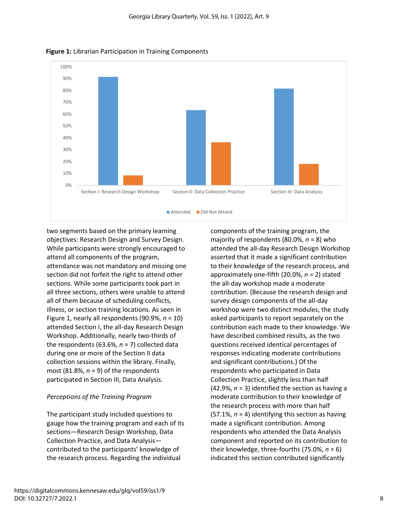

**Figure 1:** Librarian Participation in Training Components

two segments based on the primary learning objectives: Research Design and Survey Design. While participants were strongly encouraged to attend all components of the program, attendance was not mandatory and missing one section did not forfeit the right to attend other sections. While some participants took part in all three sections, others were unable to attend all of them because of scheduling conflicts, illness, or section training locations. As seen in Figure 1, nearly all respondents (90.9%, *n* = 10) attended Section I, the all-day Research Design Workshop. Additionally, nearly two-thirds of the respondents (63.6%,  $n = 7$ ) collected data during one or more of the Section II data collection sessions within the library. Finally, most (81.8%, *n* = 9) of the respondents participated in Section III, Data Analysis.

### *Perceptions of the Training Program*

The participant study included questions to gauge how the training program and each of its sections—Research Design Workshop, Data Collection Practice, and Data Analysis contributed to the participants' knowledge of the research process. Regarding the individual

components of the training program, the majority of respondents (80.0%, *n* = 8) who attended the all-day Research Design Workshop asserted that it made a significant contribution to their knowledge of the research process, and approximately one-fifth (20.0%, *n* = 2) stated the all-day workshop made a moderate contribution. (Because the research design and survey design components of the all-day workshop were two distinct modules, the study asked participants to report separately on the contribution each made to their knowledge. We have described combined results, as the two questions received identical percentages of responses indicating moderate contributions and significant contributions.) Of the respondents who participated in Data Collection Practice, slightly less than half (42.9%, *n* = 3) identified the section as having a moderate contribution to their knowledge of the research process with more than half (57.1%, *n* = 4) identifying this section as having made a significant contribution. Among respondents who attended the Data Analysis component and reported on its contribution to their knowledge, three-fourths (75.0%, *n* = 6) indicated this section contributed significantly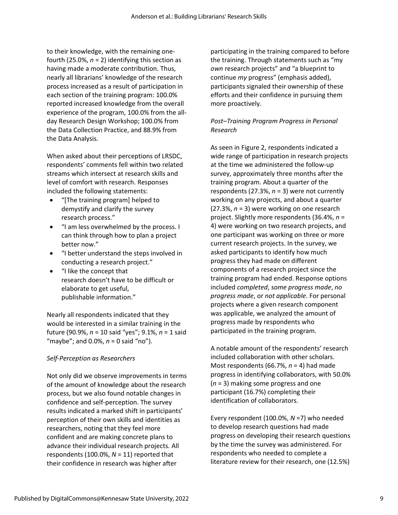to their knowledge, with the remaining onefourth (25.0%,  $n = 2$ ) identifying this section as having made a moderate contribution. Thus, nearly all librarians' knowledge of the research process increased as a result of participation in each section of the training program: 100.0% reported increased knowledge from the overall experience of the program, 100.0% from the allday Research Design Workshop; 100.0% from the Data Collection Practice, and 88.9% from the Data Analysis.

When asked about their perceptions of LRSDC, respondents' comments fell within two related streams which intersect at research skills and level of comfort with research. Responses included the following statements:

- "[The training program] helped to demystify and clarify the survey research process."
- "I am less overwhelmed by the process. I can think through how to plan a project better now."
- "I better understand the steps involved in conducting a research project."
- "I like the concept that research doesn't have to be difficult or elaborate to get useful, publishable information."

Nearly all respondents indicated that they would be interested in a similar training in the future (90.9%, *n* = 10 said "yes"; 9.1%, *n* = 1 said "maybe"; and 0.0%, *n* = 0 said "no").

## *Self-Perception as Researchers*

Not only did we observe improvements in terms of the amount of knowledge about the research process, but we also found notable changes in confidence and self-perception. The survey results indicated a marked shift in participants' perception of their own skills and identities as researchers, noting that they feel more confident and are making concrete plans to advance their individual research projects. All respondents (100.0%, *N* = 11) reported that their confidence in research was higher after

participating in the training compared to before the training. Through statements such as "my *own* research projects" and "a blueprint to continue *my* progress" (emphasis added), participants signaled their ownership of these efforts and their confidence in pursuing them more proactively.

## *Post–Training Program Progress in Personal Research*

As seen in Figure 2, respondents indicated a wide range of participation in research projects at the time we administered the follow-up survey, approximately three months after the training program. About a quarter of the respondents (27.3%, *n* = 3) were not currently working on any projects, and about a quarter (27.3%, *n* = 3) were working on one research project. Slightly more respondents (36.4%, *n* = 4) were working on two research projects, and one participant was working on three or more current research projects. In the survey, we asked participants to identify how much progress they had made on different components of a research project since the training program had ended. Response options included *completed*, *some progress made*, *no progress made*, or *not applicable*. For personal projects where a given research component was applicable, we analyzed the amount of progress made by respondents who participated in the training program.

A notable amount of the respondents' research included collaboration with other scholars. Most respondents (66.7%, *n* = 4) had made progress in identifying collaborators, with 50.0% (*n* = 3) making some progress and one participant (16.7%) completing their identification of collaborators.

Every respondent (100.0%, *N* =7) who needed to develop research questions had made progress on developing their research questions by the time the survey was administered. For respondents who needed to complete a literature review for their research, one (12.5%)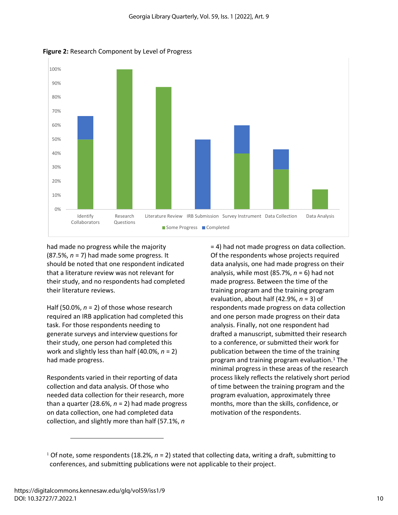

**Figure 2:** Research Component by Level of Progress

had made no progress while the majority (87.5%, *n* = 7) had made some progress. It should be noted that one respondent indicated that a literature review was not relevant for their study, and no respondents had completed their literature reviews.

Half (50.0%, *n* = 2) of those whose research required an IRB application had completed this task. For those respondents needing to generate surveys and interview questions for their study, one person had completed this work and slightly less than half (40.0%, *n* = 2) had made progress.

Respondents varied in their reporting of data collection and data analysis. Of those who needed data collection for their research, more than a quarter (28.6%,  $n = 2$ ) had made progress on data collection, one had completed data collection, and slightly more than half (57.1%, *n* 

= 4) had not made progress on data collection. Of the respondents whose projects required data analysis, one had made progress on their analysis, while most (85.7%, *n* = 6) had not made progress. Between the time of the training program and the training program evaluation, about half (42.9%, *n* = 3) of respondents made progress on data collection and one person made progress on their data analysis. Finally, not one respondent had drafted a manuscript, submitted their research to a conference, or submitted their work for publication between the time of the training program and training program evaluation. <sup>1</sup> The minimal progress in these areas of the research process likely reflects the relatively short period of time between the training program and the program evaluation, approximately three months, more than the skills, confidence, or motivation of the respondents.

<sup>&</sup>lt;sup>1</sup> Of note, some respondents (18.2%,  $n = 2$ ) stated that collecting data, writing a draft, submitting to conferences, and submitting publications were not applicable to their project.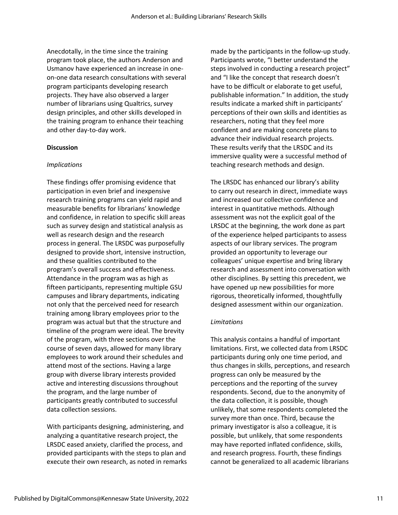Anecdotally, in the time since the training program took place, the authors Anderson and Usmanov have experienced an increase in oneon-one data research consultations with several program participants developing research projects. They have also observed a larger number of librarians using Qualtrics, survey design principles, and other skills developed in the training program to enhance their teaching and other day-to-day work.

#### **Discussion**

#### *Implications*

These findings offer promising evidence that participation in even brief and inexpensive research training programs can yield rapid and measurable benefits for librarians' knowledge and confidence, in relation to specific skill areas such as survey design and statistical analysis as well as research design and the research process in general. The LRSDC was purposefully designed to provide short, intensive instruction, and these qualities contributed to the program's overall success and effectiveness. Attendance in the program was as high as fifteen participants, representing multiple GSU campuses and library departments, indicating not only that the perceived need for research training among library employees prior to the program was actual but that the structure and timeline of the program were ideal. The brevity of the program, with three sections over the course of seven days, allowed for many library employees to work around their schedules and attend most of the sections. Having a large group with diverse library interests provided active and interesting discussions throughout the program, and the large number of participants greatly contributed to successful data collection sessions.

With participants designing, administering, and analyzing a quantitative research project, the LRSDC eased anxiety, clarified the process, and provided participants with the steps to plan and execute their own research, as noted in remarks made by the participants in the follow-up study. Participants wrote, "I better understand the steps involved in conducting a research project" and "I like the concept that research doesn't have to be difficult or elaborate to get useful, publishable information." In addition, the study results indicate a marked shift in participants' perceptions of their own skills and identities as researchers, noting that they feel more confident and are making concrete plans to advance their individual research projects. These results verify that the LRSDC and its immersive quality were a successful method of teaching research methods and design.

The LRSDC has enhanced our library's ability to carry out research in direct, immediate ways and increased our collective confidence and interest in quantitative methods. Although assessment was not the explicit goal of the LRSDC at the beginning, the work done as part of the experience helped participants to assess aspects of our library services. The program provided an opportunity to leverage our colleagues' unique expertise and bring library research and assessment into conversation with other disciplines. By setting this precedent, we have opened up new possibilities for more rigorous, theoretically informed, thoughtfully designed assessment within our organization.

#### *Limitations*

This analysis contains a handful of important limitations. First, we collected data from LRSDC participants during only one time period, and thus changes in skills, perceptions, and research progress can only be measured by the perceptions and the reporting of the survey respondents. Second, due to the anonymity of the data collection, it is possible, though unlikely, that some respondents completed the survey more than once. Third, because the primary investigator is also a colleague, it is possible, but unlikely, that some respondents may have reported inflated confidence, skills, and research progress. Fourth, these findings cannot be generalized to all academic librarians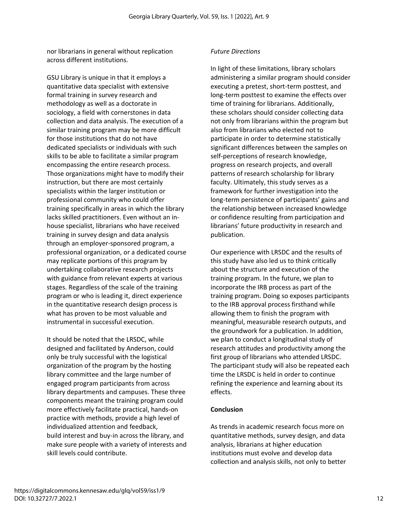nor librarians in general without replication across different institutions.

GSU Library is unique in that it employs a quantitative data specialist with extensive formal training in survey research and methodology as well as a doctorate in sociology, a field with cornerstones in data collection and data analysis. The execution of a similar training program may be more difficult for those institutions that do not have dedicated specialists or individuals with such skills to be able to facilitate a similar program encompassing the entire research process. Those organizations might have to modify their instruction, but there are most certainly specialists within the larger institution or professional community who could offer training specifically in areas in which the library lacks skilled practitioners. Even without an inhouse specialist, librarians who have received training in survey design and data analysis through an employer-sponsored program, a professional organization, or a dedicated course may replicate portions of this program by undertaking collaborative research projects with guidance from relevant experts at various stages. Regardless of the scale of the training program or who is leading it, direct experience in the quantitative research design process is what has proven to be most valuable and instrumental in successful execution.

It should be noted that the LRSDC, while designed and facilitated by Anderson, could only be truly successful with the logistical organization of the program by the hosting library committee and the large number of engaged program participants from across library departments and campuses. These three components meant the training program could more effectively facilitate practical, hands-on practice with methods, provide a high level of individualized attention and feedback, build interest and buy-in across the library, and make sure people with a variety of interests and skill levels could contribute.

#### *Future Directions*

In light of these limitations, library scholars administering a similar program should consider executing a pretest, short-term posttest, and long-term posttest to examine the effects over time of training for librarians. Additionally, these scholars should consider collecting data not only from librarians within the program but also from librarians who elected not to participate in order to determine statistically significant differences between the samples on self-perceptions of research knowledge, progress on research projects, and overall patterns of research scholarship for library faculty. Ultimately, this study serves as a framework for further investigation into the long-term persistence of participants' gains and the relationship between increased knowledge or confidence resulting from participation and librarians' future productivity in research and publication.

Our experience with LRSDC and the results of this study have also led us to think critically about the structure and execution of the training program. In the future, we plan to incorporate the IRB process as part of the training program. Doing so exposes participants to the IRB approval process firsthand while allowing them to finish the program with meaningful, measurable research outputs, and the groundwork for a publication. In addition, we plan to conduct a longitudinal study of research attitudes and productivity among the first group of librarians who attended LRSDC. The participant study will also be repeated each time the LRSDC is held in order to continue refining the experience and learning about its effects.

#### **Conclusion**

As trends in academic research focus more on quantitative methods, survey design, and data analysis, librarians at higher education institutions must evolve and develop data collection and analysis skills, not only to better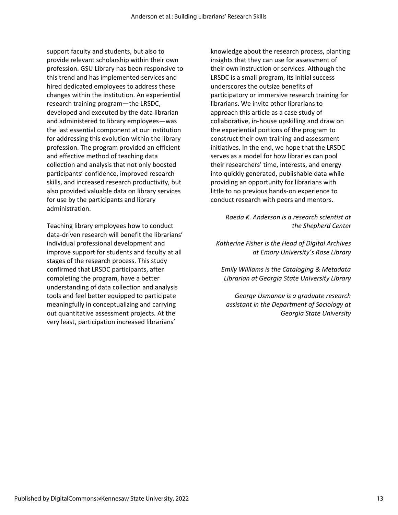support faculty and students, but also to provide relevant scholarship within their own profession. GSU Library has been responsive to this trend and has implemented services and hired dedicated employees to address these changes within the institution. An experiential research training program—the LRSDC, developed and executed by the data librarian and administered to library employees—was the last essential component at our institution for addressing this evolution within the library profession. The program provided an efficient and effective method of teaching data collection and analysis that not only boosted participants' confidence, improved research skills, and increased research productivity, but also provided valuable data on library services for use by the participants and library administration.

Teaching library employees how to conduct data-driven research will benefit the librarians' individual professional development and improve support for students and faculty at all stages of the research process. This study confirmed that LRSDC participants, after completing the program, have a better understanding of data collection and analysis tools and feel better equipped to participate meaningfully in conceptualizing and carrying out quantitative assessment projects. At the very least, participation increased librarians'

knowledge about the research process, planting insights that they can use for assessment of their own instruction or services. Although the LRSDC is a small program, its initial success underscores the outsize benefits of participatory or immersive research training for librarians. We invite other librarians to approach this article as a case study of collaborative, in-house upskilling and draw on the experiential portions of the program to construct their own training and assessment initiatives. In the end, we hope that the LRSDC serves as a model for how libraries can pool their researchers' time, interests, and energy into quickly generated, publishable data while providing an opportunity for librarians with little to no previous hands-on experience to conduct research with peers and mentors.

> *Raeda K. Anderson is a research scientist at the Shepherd Center*

*Katherine Fisher is the Head of Digital Archives at Emory University's Rose Library*

*Emily Williams is the Cataloging & Metadata Librarian at Georgia State University Library*

*George Usmanov is a graduate research assistant in the Department of Sociology at Georgia State University*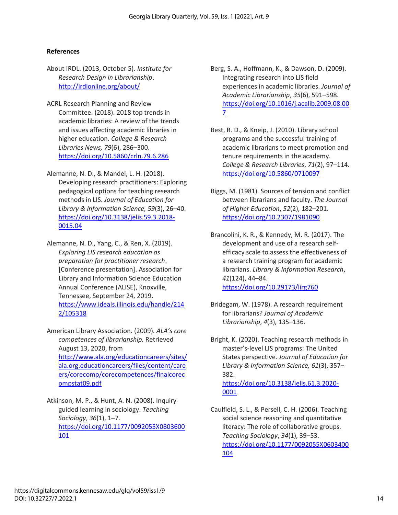#### **References**

- About IRDL. (2013, October 5). *Institute for Research Design in Librarianship*. <http://irdlonline.org/about/>
- ACRL Research Planning and Review Committee. (2018). 2018 top trends in academic libraries: A review of the trends and issues affecting academic libraries in higher education. *College & Research Libraries News, 79*(6), 286–300. <https://doi.org/10.5860/crln.79.6.286>
- Alemanne, N. D., & Mandel, L. H. (2018). Developing research practitioners: Exploring pedagogical options for teaching research methods in LIS. *Journal of Education for Library & Information Science, 59*(3), 26–40. [https://doi.org/10.3138/jelis.59.3.2018-](https://doi.org/10.3138/jelis.59.3.2018-0015.04) [0015.04](https://doi.org/10.3138/jelis.59.3.2018-0015.04)
- Alemanne, N. D., Yang, C., & Ren, X. (2019). *Exploring LIS research education as preparation for practitioner research*. [Conference presentation]. Association for Library and Information Science Education Annual Conference (ALISE), Knoxville, Tennessee, September 24, 2019. [https://www.ideals.illinois.edu/handle/214](https://www.ideals.illinois.edu/handle/2142/105318) [2/105318](https://www.ideals.illinois.edu/handle/2142/105318)
- American Library Association. (2009). *ALA's core competences of librarianship.* Retrieved August 13, 2020, from [http://www.ala.org/educationcareers/sites/](http://www.ala.org/educationcareers/sites/ala.org.educationcareers/files/content/careers/corecomp/corecompetences/finalcorecompstat09.pdf) [ala.org.educationcareers/files/content/care](http://www.ala.org/educationcareers/sites/ala.org.educationcareers/files/content/careers/corecomp/corecompetences/finalcorecompstat09.pdf) [ers/corecomp/corecompetences/finalcorec](http://www.ala.org/educationcareers/sites/ala.org.educationcareers/files/content/careers/corecomp/corecompetences/finalcorecompstat09.pdf) [ompstat09.pdf](http://www.ala.org/educationcareers/sites/ala.org.educationcareers/files/content/careers/corecomp/corecompetences/finalcorecompstat09.pdf)
- Atkinson, M. P., & Hunt, A. N. (2008). Inquiryguided learning in sociology. *Teaching Sociology*, *36*(1), 1–7. [https://doi.org/10.1177/0092055X0803600](https://doi.org/10.1177/0092055X0803600101) [101](https://doi.org/10.1177/0092055X0803600101)
- Berg, S. A., Hoffmann, K., & Dawson, D. (2009). Integrating research into LIS field experiences in academic libraries. *Journal of Academic Librarianship*, *35*(6), 591–598. [https://doi.org/10.1016/j.acalib.2009.08.00](https://doi.org/10.1016/j.acalib.2009.08.007) [7](https://doi.org/10.1016/j.acalib.2009.08.007)
- Best, R. D., & Kneip, J. (2010). Library school programs and the successful training of academic librarians to meet promotion and tenure requirements in the academy. *College & Research Libraries*, *71*(2), 97–114. <https://doi.org/10.5860/0710097>
- Biggs, M. (1981). Sources of tension and conflict between librarians and faculty. *The Journal of Higher Education*, *52*(2), 182–201. <https://doi.org/10.2307/1981090>
- Brancolini, K. R., & Kennedy, M. R. (2017). The development and use of a research selfefficacy scale to assess the effectiveness of a research training program for academic librarians. *Library & Information Research*, *41*(124), 44–84. <https://doi.org/10.29173/lirg760>
- Bridegam, W. (1978). A research requirement for librarians? *Journal of Academic Librarianship*, *4*(3), 135–136.
- Bright, K. (2020). Teaching research methods in master's-level LIS programs: The United States perspective. *Journal of Education for Library & Information Science, 61*(3), 357– 382. [https://doi.org/10.3138/jelis.61.3.2020-](https://doi.org/10.3138/jelis.61.3.2020-0001) [0001](https://doi.org/10.3138/jelis.61.3.2020-0001)
- Caulfield, S. L., & Persell, C. H. (2006). Teaching social science reasoning and quantitative literacy: The role of collaborative groups. *Teaching Sociology*, *34*(1), 39–53. [https://doi.org/10.1177/0092055X0603400](https://doi.org/10.1177/0092055X0603400104) [104](https://doi.org/10.1177/0092055X0603400104)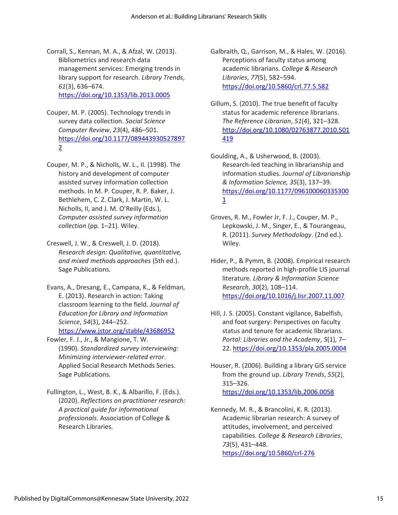Corrall, S., Kennan, M. A., & Afzal, W. (2013). Bibliometrics and research data management services: Emerging trends in library support for research. *Library Trends*, *61*(3), 636–674. <https://doi.org/10.1353/lib.2013.0005>

- Couper, M. P. (2005). Technology trends in survey data collection. *Social Science Computer Review*, *23*(4), 486–501. [https://doi.org/10.1177/089443930527897](https://doi.org/10.1177/0894439305278972) [2](https://doi.org/10.1177/0894439305278972)
- Couper, M. P., & Nicholls, W. L., II. (1998). The history and development of computer assisted survey information collection methods. In M. P. Couper, R. P. Baker, J. Bethlehem, C. Z. Clark, J. Martin, W. L. Nicholls, II, and J. M. O'Reilly (Eds.), *Computer assisted survey information collection* (pp. 1–21). Wiley.
- Creswell, J. W., & Creswell, J. D. (2018). *Research design: Qualitative, quantitative, and mixed methods approaches* (5th ed.). Sage Publications.
- Evans, A., Dresang, E., Campana, K., & Feldman, E. (2013). Research in action: Taking classroom learning to the field. *Journal of Education for Library and Information Science*, *54*(3), 244–252. [https://www.jstor.org/stable/43686952](https://www.jstor.org/stable/43686952P)
- Fowler, F. J., Jr., & Mangione, T. W. (1990). *Standardized survey interviewing: Minimizing interviewer-related error*. Applied Social Research Methods Series. Sage Publications.
- Fullington, L., West, B. K., & Albarillo, F. (Eds.). (2020). *Reflections on practitioner research: A practical guide for informational professionals*. Association of College & Research Libraries.

Galbraith, Q., Garrison, M., & Hales, W. (2016). Perceptions of faculty status among academic librarians. *College & Research Libraries*, *77*(5), 582–594. https://doi.org/10.5860/crl.77.5.582

- Gillum, S. (2010). The true benefit of faculty status for academic reference librarians. *The Reference Librarian*, *51*(4), 321–328. [http://doi.org/10.1080/02763877.2010.501](http://doi.org/10.1080/02763877.2010.501419) [419](http://doi.org/10.1080/02763877.2010.501419)
- Goulding, A., & Usherwood, B. (2003). Research-led teaching in librarianship and information studies. *Journal of Librarianship & Information Science, 35*(3), 137–39. https://doi.org/10.1177/096100060335300 1
- Groves, R. M., Fowler Jr, F. J., Couper, M. P., Lepkowski, J. M., Singer, E., & Tourangeau, R. (2011). *Survey Methodology*. (2nd ed.). Wiley.
- Hider, P., & Pymm, B. (2008). Empirical research methods reported in high-profile LIS journal literature. *Library & Information Science Research*, *30*(2), 108–114. <https://doi.org/10.1016/j.lisr.2007.11.007>
- Hill, J. S. (2005). Constant vigilance, Babelfish, and foot surgery: Perspectives on faculty status and tenure for academic librarians. *Portal: Libraries and the Academy*, *5*(1), 7– 22.<https://doi.org/10.1353/pla.2005.0004>
- Houser, R. (2006). Building a library GIS service from the ground up. *Library Trends*, *55*(2), 315–326. <https://doi.org/10.1353/lib.2006.0058>
- Kennedy, M. R., & Brancolini, K. R. (2013). Academic librarian research: A survey of attitudes, involvement, and perceived capabilities. *College & Research Libraries*, *73*(5), 431–448. <https://doi.org/10.5860/crl-276>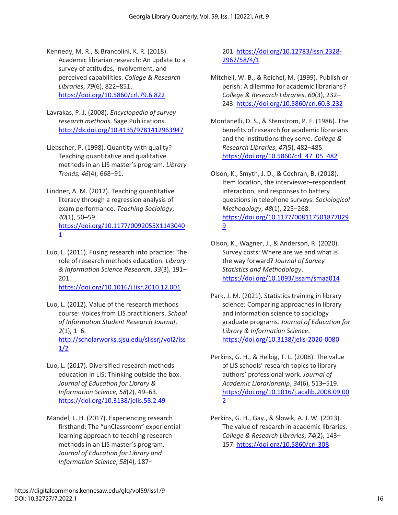Kennedy, M. R., & Brancolini, K. R. (2018). Academic librarian research: An update to a survey of attitudes, involvement, and perceived capabilities. *College & Research Libraries*, *79*(6), 822–851. <https://doi.org/10.5860/crl.79.6.822>

- Lavrakas, P. J. (2008). *Encyclopedia of survey research methods*. Sage Publications. <http://dx.doi.org/10.4135/9781412963947>
- Liebscher, P. (1998). Quantity with quality? Teaching quantitative and qualitative methods in an LIS master's program. *Library Trends, 46*(4), 668–91.
- Lindner, A. M. (2012). Teaching quantitative literacy through a regression analysis of exam performance. *Teaching Sociology*, *40*(1), 50–59. [https://doi.org/10.1177/0092055X1143040](https://doi.org/10.1177/0092055X11430401) [1](https://doi.org/10.1177/0092055X11430401)
- Luo, L. (2011). Fusing research into practice: The role of research methods education. *Library & Information Science Research*, *33*(3), 191– 201. <https://doi.org/10.1016/j.lisr.2010.12.001>
- Luo, L. (2012). Value of the research methods course: Voices from LIS practitioners. *School of Information Student Research Journal*, *2*(1), 1–6. [http://scholarworks.sjsu.edu/slissrj/vol2/iss](http://scholarworks.sjsu.edu/slissrj/vol2/iss1/2) [1/2](http://scholarworks.sjsu.edu/slissrj/vol2/iss1/2)
- Luo, L. (2017). Diversified research methods education in LIS: Thinking outside the box. *Journal of Education for Library & Information Science, 58*(2), 49–63. <https://doi.org/10.3138/jelis.58.2.49>
- Mandel, L. H. (2017). Experiencing research firsthand: The "unClassroom" experiential learning approach to teaching research methods in an LIS master's program. *Journal of Education for Library and Information Science*, *58*(4), 187–

201. [https://doi.org/10.12783/issn.2328-](https://doi.org/10.12783/issn.2328-2967/58/4/1) [2967/58/4/1](https://doi.org/10.12783/issn.2328-2967/58/4/1)

- Mitchell, W. B., & Reichel, M. (1999). Publish or perish: A dilemma for academic librarians? *College & Research Libraries*, *60*(3), 232– 243. https://doi.org/10.5860/crl.60.3.232
- Montanelli, D. S., & Stenstrom, P. F. (1986). The benefits of research for academic librarians and the institutions they serve. *College & Research Libraries*, *47*(5), 482–485. [https://doi.org/10.5860/crl\\_47\\_05\\_482](https://doi.org/10.5860/crl_47_05_482)
- Olson, K., Smyth, J. D., & Cochran, B. (2018). Item location, the interviewer–respondent interaction, and responses to battery questions in telephone surveys. *Sociological Methodology*, *48*(1), 225–268. https://doi.org/10.1177/008117501877829 9
- Olson, K., Wagner, J., & Anderson, R. (2020). Survey costs: Where are we and what is the way forward? *Journal of Survey Statistics and Methodology*. <https://doi.org/10.1093/jssam/smaa014>
- Park, J. M. (2021). Statistics training in library science: Comparing approaches in library and information science to sociology graduate programs. *Journal of Education for Library & Information Science*. <https://doi.org/10.3138/jelis-2020-0080>
- Perkins, G. H., & Helbig, T. L. (2008). The value of LIS schools' research topics to library authors' professional work. *Journal of Academic Librarianship*, *34*(6), 513–519. [https://doi.org/10.1016/j.acalib.2008.09.00](https://doi.org/10.1016/j.acalib.2008.09.002) [2](https://doi.org/10.1016/j.acalib.2008.09.002)
- Perkins, G. H., Gay., & Slowik, A. J. W. (2013). The value of research in academic libraries. *College & Research Libraries*, *74*(2), 143– 157.<https://doi.org/10.5860/crl-308>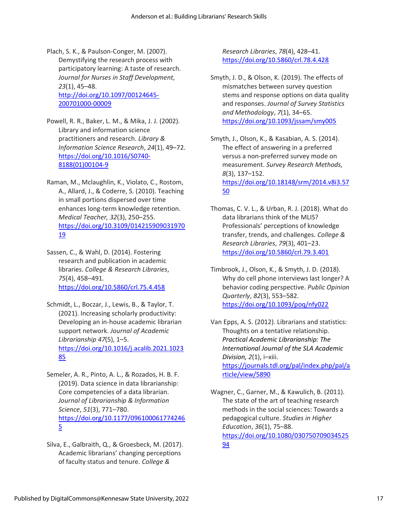Plach, S. K., & Paulson-Conger, M. (2007). Demystifying the research process with participatory learning: A taste of research. *Journal for Nurses in Staff Development, 23*(1), 45–48. [http://doi.org/10.1097/00124645-](http://doi.org/10.1097/00124645-200701000-00009) [200701000-00009](http://doi.org/10.1097/00124645-200701000-00009)

- Powell, R. R., Baker, L. M., & Mika, J. J. (2002). Library and information science practitioners and research. *Library & Information Science Research*, *24*(1), 49–72. [https://doi.org/10.1016/S0740-](https://doi.org/10.1016/S0740-8188(01)00104-9) [8188\(01\)00104-9](https://doi.org/10.1016/S0740-8188(01)00104-9)
- Raman, M., Mclaughlin, K., Violato, C., Rostom, A., Allard, J., & Coderre, S. (2010). Teaching in small portions dispersed over time enhances long-term knowledge retention. *Medical Teacher, 32*(3), 250–255. [https://doi.org/10.3109/014215909031970](https://doi.org/10.3109/01421590903197019) [19](https://doi.org/10.3109/01421590903197019)
- Sassen, C., & Wahl, D. (2014). Fostering research and publication in academic libraries. *College & Research Libraries*, *75*(4), 458–491. <https://doi.org/10.5860/crl.75.4.458>
- Schmidt, L., Boczar, J., Lewis, B., & Taylor, T. (2021). Increasing scholarly productivity: Developing an in-house academic librarian support network. *Journal of Academic Librarianship 47*(5), 1–5. [https://doi.org/10.1016/j.acalib.2021.1023](https://doi.org/10.1016/j.acalib.2021.102385) [85](https://doi.org/10.1016/j.acalib.2021.102385)
- Semeler, A. R., Pinto, A. L., & Rozados, H. B. F. (2019). Data science in data librarianship: Core competencies of a data librarian. *Journal of Librarianship & Information Science*, *51*(3), 771–780. [https://doi.org/10.1177/096100061774246](https://doi.org/10.1177%2F0961000617742465) [5](https://doi.org/10.1177%2F0961000617742465)
- Silva, E., Galbraith, Q., & Groesbeck, M. (2017). Academic librarians' changing perceptions of faculty status and tenure. *College &*

*Research Libraries*, *78*(4), 428–41. <https://doi.org/10.5860/crl.78.4.428>

Smyth, J. D., & Olson, K. (2019). The effects of mismatches between survey question stems and response options on data quality and responses. *Journal of Survey Statistics and Methodology*, *7*(1), 34–65. https://doi.org/10.1093/jssam/smy005

Smyth, J., Olson, K., & Kasabian, A. S. (2014). The effect of answering in a preferred versus a non-preferred survey mode on measurement. *Survey Research Methods, 8*(3), 137–152. https://doi.org/10.18148/srm/2014.v8i3.57 50

- Thomas, C. V. L., & Urban, R. J. (2018). What do data librarians think of the MLIS? Professionals' perceptions of knowledge transfer, trends, and challenges. *College & Research Libraries*, *79*(3), 401–23. <https://doi.org/10.5860/crl.79.3.401>
- Timbrook, J., Olson, K., & Smyth, J. D. (2018). Why do cell phone interviews last longer? A behavior coding perspective. *Public Opinion Quarterly*, *82*(3), 553–582. https://doi.org/10.1093/poq/nfy022
- Van Epps, A. S. (2012). Librarians and statistics: Thoughts on a tentative relationship. *Practical Academic Librarianship: The International Journal of the SLA Academic Division, 2*(1), i–xiii. [https://journals.tdl.org/pal/index.php/pal/a](https://journals.tdl.org/pal/index.php/pal/article/view/5890) [rticle/view/5890](https://journals.tdl.org/pal/index.php/pal/article/view/5890)
- Wagner, C., Garner, M., & Kawulich, B. (2011). The state of the art of teaching research methods in the social sciences: Towards a pedagogical culture. *Studies in Higher Education*, *36*(1), 75–88. [https://doi.org/10.1080/030750709034525](https://doi.org/10.1080/03075070903452594) [94](https://doi.org/10.1080/03075070903452594)